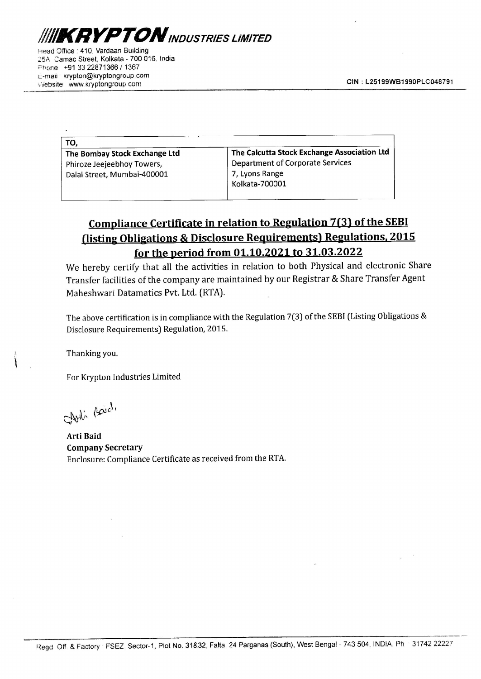

Head Office : 410. Vardaan Building 25A Camac Street, Kolkata - 700 016. India Phone +91 33 22871366 / 1367 c-maii' krypton@kryptongroup.com vebsite www.kryptongroup.com CIN : L25199WB1990PLC048791 The Case of the Manual Building<br>
The Street, Kolkata - 700 016, India<br>
+91 33 22871366 / 1367<br>
krypton@kryptongroup.com<br>
Example 2011<br>
WWW.Kryptongroup.com The Contract of the Magnus of the Magnus of the Magnus Street, Kolkata - 700 016, India<br>
Henry 33 22871366 / 1367<br>
Krypton@kryptongroup.com<br>
WWW.Kryptongroup.com<br>
TO,

| <b>KRYPTON</b> INDUSTRIES LIMITED                                                               |                                             |
|-------------------------------------------------------------------------------------------------|---------------------------------------------|
| ffice: 410, Vardaan Building<br>amac Street, Kolkata - 700 016, India<br>+91 33 22871366 / 1367 |                                             |
| krypton@kryptongroup.com<br>www.kryptongroup.com                                                | <b>CIN: L25199V</b>                         |
|                                                                                                 |                                             |
|                                                                                                 |                                             |
| TO,                                                                                             |                                             |
| The Bombay Stock Exchange Ltd                                                                   | The Calcutta Stock Exchange Association Ltd |
| Phiroze Jeejeebhoy Towers,                                                                      | <b>Department of Corporate Services</b>     |
| Dalal Street, Mumbai-400001                                                                     | 7, Lyons Range<br>Kolkata-700001            |
|                                                                                                 |                                             |

## Compliance Certificate in relation to Regulation 7(3) of the SEBI (listing Obligations & Disclosure Requirements) Regulations, 2015 for the period from 01.10.2021 to 31.03.2022 **Compliance Certificate in relat<br>
(listing Obligations & Disclosure<br>
for the period from 0**<br>
We hereby certify that all the activities in<br>
Transfer facilities of the company are maint.<br>
Maheshwari Datamatics Pvt. Ltd. (RT

We hereby certify that all the activities in relation to both Physical and electronic Share Transfer facilities of the company are maintained by our Registrar & Share Transfer Agent Maheshwari Datamatics Pvt. Ltd. (RTA).

The above certification is in compliance with the Regulation 7(3) of the SEBI (Listing Obligations & Disclosure Requirements) Regulation, 2015.

Thanking you.

For Krypton Industries Limited

Cheli Baich,

Arti Baid Company Secretary Enclosure: Compliance Certificate as received from the RTA.